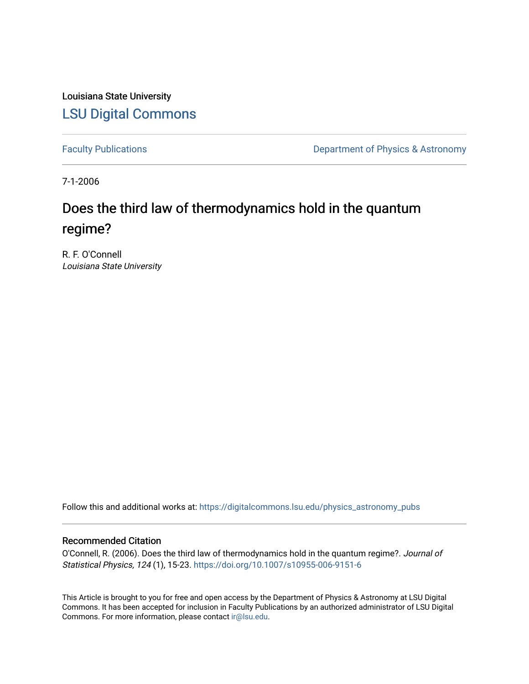Louisiana State University [LSU Digital Commons](https://digitalcommons.lsu.edu/)

[Faculty Publications](https://digitalcommons.lsu.edu/physics_astronomy_pubs) **Exercise 2 and Table 2 and Table 2 and Table 2 and Table 2 and Table 2 and Table 2 and Table 2 and Table 2 and Table 2 and Table 2 and Table 2 and Table 2 and Table 2 and Table 2 and Table 2 and Table** 

7-1-2006

# Does the third law of thermodynamics hold in the quantum regime?

R. F. O'Connell Louisiana State University

Follow this and additional works at: [https://digitalcommons.lsu.edu/physics\\_astronomy\\_pubs](https://digitalcommons.lsu.edu/physics_astronomy_pubs?utm_source=digitalcommons.lsu.edu%2Fphysics_astronomy_pubs%2F3882&utm_medium=PDF&utm_campaign=PDFCoverPages) 

### Recommended Citation

O'Connell, R. (2006). Does the third law of thermodynamics hold in the quantum regime?. Journal of Statistical Physics, 124 (1), 15-23.<https://doi.org/10.1007/s10955-006-9151-6>

This Article is brought to you for free and open access by the Department of Physics & Astronomy at LSU Digital Commons. It has been accepted for inclusion in Faculty Publications by an authorized administrator of LSU Digital Commons. For more information, please contact [ir@lsu.edu](mailto:ir@lsu.edu).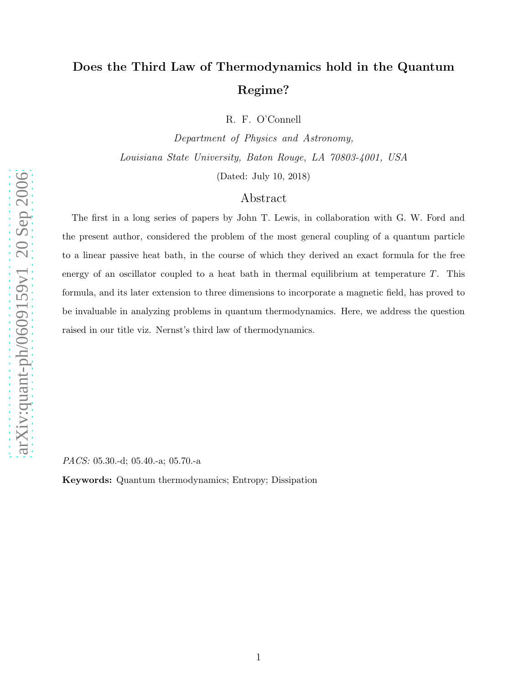## Does the Third Law of Thermodynamics hold in the Quantum Regime?

R. F. O'Connell

Department of Physics and Astronomy, Louisiana State University, Baton Rouge, LA 70803-4001, USA

(Dated: July 10, 2018)

## Abstract

The first in a long series of papers by John T. Lewis, in collaboration with G. W. Ford and the present author, considered the problem of the most general coupling of a quantum particle to a linear passive heat bath, in the course of which they derived an exact formula for the free energy of an oscillator coupled to a heat bath in thermal equilibrium at temperature  $T$ . This formula, and its later extension to three dimensions to incorporate a magnetic field, has proved to be invaluable in analyzing problems in quantum thermodynamics. Here, we address the question raised in our title viz. Nernst's third law of thermodynamics.

*PACS:* 05.30.-d; 05.40.-a; 05.70.-a

Keywords: Quantum thermodynamics; Entropy; Dissipation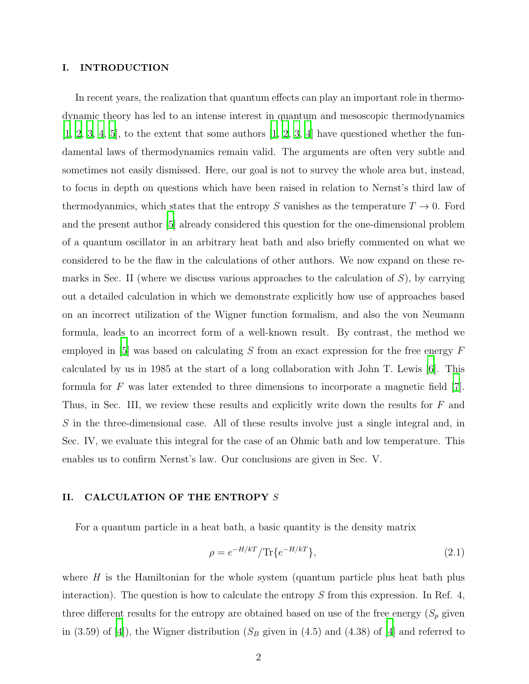#### I. INTRODUCTION

In recent years, the realization that quantum effects can play an important role in thermodynamic theory has led to an intense interest in quantum and mesoscopic thermodynamics  $[1, 2, 3, 4, 5]$  $[1, 2, 3, 4, 5]$  $[1, 2, 3, 4, 5]$  $[1, 2, 3, 4, 5]$  $[1, 2, 3, 4, 5]$  $[1, 2, 3, 4, 5]$  $[1, 2, 3, 4, 5]$  $[1, 2, 3, 4, 5]$  $[1, 2, 3, 4, 5]$  $[1, 2, 3, 4, 5]$ , to the extent that some authors  $[1, 2, 3, 4]$  $[1, 2, 3, 4]$  $[1, 2, 3, 4]$  $[1, 2, 3, 4]$  have questioned whether the fundamental laws of thermodynamics remain valid. The arguments are often very subtle and sometimes not easily dismissed. Here, our goal is not to survey the whole area but, instead, to focus in depth on questions which have been raised in relation to Nernst's third law of thermodyanmics, which states that the entropy S vanishes as the temperature  $T \to 0$ . Ford and the present author [\[5\]](#page-10-4) already considered this question for the one-dimensional problem of a quantum oscillator in an arbitrary heat bath and also briefly commented on what we considered to be the flaw in the calculations of other authors. We now expand on these remarks in Sec. II (where we discuss various approaches to the calculation of  $S$ ), by carrying out a detailed calculation in which we demonstrate explicitly how use of approaches based on an incorrect utilization of the Wigner function formalism, and also the von Neumann formula, leads to an incorrect form of a well-known result. By contrast, the method we employed in [\[5](#page-10-4)] was based on calculating  $S$  from an exact expression for the free energy  $F$ calculated by us in 1985 at the start of a long collaboration with John T. Lewis [\[6](#page-10-5)]. This formula for  $F$  was later extended to three dimensions to incorporate a magnetic field  $[7]$ . Thus, in Sec. III, we review these results and explicitly write down the results for F and S in the three-dimensional case. All of these results involve just a single integral and, in Sec. IV, we evaluate this integral for the case of an Ohmic bath and low temperature. This enables us to confirm Nernst's law. Our conclusions are given in Sec. V.

#### II. CALCULATION OF THE ENTROPY S

For a quantum particle in a heat bath, a basic quantity is the density matrix

$$
\rho = e^{-H/kT} / \text{Tr}\{e^{-H/kT}\},\tag{2.1}
$$

where  $H$  is the Hamiltonian for the whole system (quantum particle plus heat bath plus interaction). The question is how to calculate the entropy  $S$  from this expression. In Ref. 4, three different results for the entropy are obtained based on use of the free energy  $(S_p)$  given in (3.59) of [\[4\]](#page-10-3)), the Wigner distribution ( $S_B$  given in (4.5) and (4.38) of [4] and referred to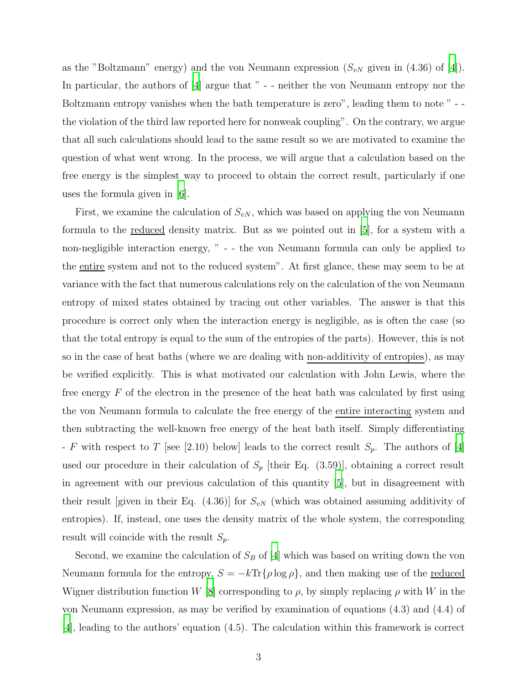as the "Boltzmann" energy) and the von Neumann expression  $(S_{vN}$  given in (4.36) of [\[4](#page-10-3)]). In particular, the authors of [\[4](#page-10-3)] argue that " - - neither the von Neumann entropy nor the Boltzmann entropy vanishes when the bath temperature is zero", leading them to note " - the violation of the third law reported here for nonweak coupling". On the contrary, we argue that all such calculations should lead to the same result so we are motivated to examine the question of what went wrong. In the process, we will argue that a calculation based on the free energy is the simplest way to proceed to obtain the correct result, particularly if one uses the formula given in [\[6](#page-10-5)].

First, we examine the calculation of  $S_{vN}$ , which was based on applying the von Neumann formula to the reduced density matrix. But as we pointed out in [\[5\]](#page-10-4), for a system with a non-negligible interaction energy, " - - the von Neumann formula can only be applied to the entire system and not to the reduced system". At first glance, these may seem to be at variance with the fact that numerous calculations rely on the calculation of the von Neumann entropy of mixed states obtained by tracing out other variables. The answer is that this procedure is correct only when the interaction energy is negligible, as is often the case (so that the total entropy is equal to the sum of the entropies of the parts). However, this is not so in the case of heat baths (where we are dealing with non-additivity of entropies), as may be verified explicitly. This is what motivated our calculation with John Lewis, where the free energy  $F$  of the electron in the presence of the heat bath was calculated by first using the von Neumann formula to calculate the free energy of the entire interacting system and then subtracting the well-known free energy of the heat bath itself. Simply differentiating - F with respect to T [see [2.10) below] leads to the correct result  $S_p$ . The authors of [\[4\]](#page-10-3) used our procedure in their calculation of  $S_p$  [their Eq. (3.59)], obtaining a correct result in agreement with our previous calculation of this quantity [\[5\]](#page-10-4), but in disagreement with their result [given in their Eq.  $(4.36)$ ] for  $S_{vN}$  (which was obtained assuming additivity of entropies). If, instead, one uses the density matrix of the whole system, the corresponding result will coincide with the result  $S_p$ .

Second, we examine the calculation of  $S_B$  of [\[4\]](#page-10-3) which was based on writing down the von Neumann formula for the entropy,  $S = -k \text{Tr} \{ \rho \log \rho \}$ , and then making use of the <u>reduced</u> Wigner distribution function W [\[8\]](#page-10-7) corresponding to  $\rho$ , by simply replacing  $\rho$  with W in the von Neumann expression, as may be verified by examination of equations (4.3) and (4.4) of [\[4](#page-10-3)], leading to the authors' equation (4.5). The calculation within this framework is correct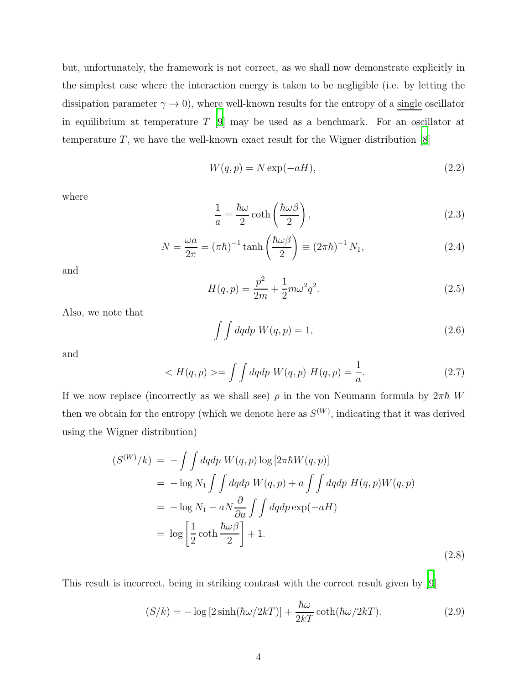but, unfortunately, the framework is not correct, as we shall now demonstrate explicitly in the simplest case where the interaction energy is taken to be negligible (i.e. by letting the dissipation parameter  $\gamma \to 0$ , where well-known results for the entropy of a single oscillator in equilibrium at temperature T [\[9\]](#page-10-8) may be used as a benchmark. For an oscillator at temperature  $T$ , we have the well-known exact result for the Wigner distribution  $[8]$ 

$$
W(q, p) = N \exp(-aH), \qquad (2.2)
$$

where

$$
\frac{1}{a} = \frac{\hbar\omega}{2}\coth\left(\frac{\hbar\omega\beta}{2}\right),\tag{2.3}
$$

$$
N = \frac{\omega a}{2\pi} = (\pi \hbar)^{-1} \tanh\left(\frac{\hbar \omega \beta}{2}\right) \equiv (2\pi \hbar)^{-1} N_1,\tag{2.4}
$$

and

$$
H(q, p) = \frac{p^2}{2m} + \frac{1}{2}m\omega^2 q^2.
$$
\n(2.5)

Also, we note that

$$
\int \int dq dp W(q, p) = 1,\tag{2.6}
$$

and

$$
\langle H(q, p) \rangle = \int \int dq dp W(q, p) H(q, p) = \frac{1}{a}.
$$
 (2.7)

If we now replace (incorrectly as we shall see)  $\rho$  in the von Neumann formula by  $2\pi\hbar$  W then we obtain for the entropy (which we denote here as  $S^{(W)}$ , indicating that it was derived using the Wigner distribution)

$$
(S^{(W)}/k) = -\int \int dqdp \ W(q,p) \log [2\pi\hbar W(q,p)]
$$
  
=  $-\log N_1 \int \int dqdp \ W(q,p) + a \int \int dqdp \ H(q,p)W(q,p)$   
=  $-\log N_1 - aN \frac{\partial}{\partial a} \int \int dqdp \exp(-aH)$   
=  $\log \left[ \frac{1}{2} \coth \frac{\hbar \omega \beta}{2} \right] + 1.$  (2.8)

This result is incorrect, being in striking contrast with the correct result given by [\[9\]](#page-10-8)

$$
(S/k) = -\log\left[2\sinh(\hbar\omega/2kT)\right] + \frac{\hbar\omega}{2kT}\coth(\hbar\omega/2kT). \tag{2.9}
$$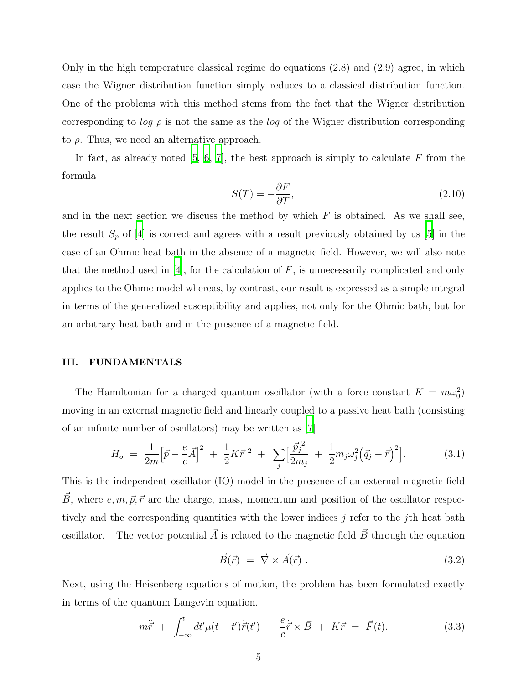Only in the high temperature classical regime do equations  $(2.8)$  and  $(2.9)$  agree, in which case the Wigner distribution function simply reduces to a classical distribution function. One of the problems with this method stems from the fact that the Wigner distribution corresponding to log  $\rho$  is not the same as the log of the Wigner distribution corresponding to  $\rho$ . Thus, we need an alternative approach.

In fact, as already noted  $[5, 6, 7]$  $[5, 6, 7]$  $[5, 6, 7]$  $[5, 6, 7]$  $[5, 6, 7]$ , the best approach is simply to calculate F from the formula

$$
S(T) = -\frac{\partial F}{\partial T},\tag{2.10}
$$

and in the next section we discuss the method by which  $F$  is obtained. As we shall see, the result  $S_p$  of [\[4](#page-10-3)] is correct and agrees with a result previously obtained by us [\[5](#page-10-4)] in the case of an Ohmic heat bath in the absence of a magnetic field. However, we will also note that the method used in  $[4]$ , for the calculation of  $F$ , is unnecessarily complicated and only applies to the Ohmic model whereas, by contrast, our result is expressed as a simple integral in terms of the generalized susceptibility and applies, not only for the Ohmic bath, but for an arbitrary heat bath and in the presence of a magnetic field.

#### III. FUNDAMENTALS

The Hamiltonian for a charged quantum oscillator (with a force constant  $K = m\omega_0^2$ ) moving in an external magnetic field and linearly coupled to a passive heat bath (consisting of an infinite number of oscillators) may be written as [\[7](#page-10-6)]

$$
H_o = \frac{1}{2m} \Big[ \vec{p} - \frac{e}{c} \vec{A} \Big]^2 + \frac{1}{2} K \vec{r}^2 + \sum_j \Big[ \frac{\vec{p}_j^{\,2}}{2m_j} + \frac{1}{2} m_j \omega_j^2 \Big( \vec{q}_j - \vec{r} \Big)^2 \Big]. \tag{3.1}
$$

This is the independent oscillator (IO) model in the presence of an external magnetic field  $\vec{B}$ , where e, m,  $\vec{p}, \vec{r}$  are the charge, mass, momentum and position of the oscillator respectively and the corresponding quantities with the lower indices j refer to the j<sup>th</sup> heat bath oscillator. The vector potential  $\vec{A}$  is related to the magnetic field  $\vec{B}$  through the equation

$$
\vec{B}(\vec{r}) = \vec{\nabla} \times \vec{A}(\vec{r}) \,. \tag{3.2}
$$

Next, using the Heisenberg equations of motion, the problem has been formulated exactly in terms of the quantum Langevin equation.

$$
m\ddot{\vec{r}} + \int_{-\infty}^{t} dt' \mu(t - t') \dot{\vec{r}}(t') - \frac{e}{c} \dot{\vec{r}} \times \vec{B} + K\vec{r} = \vec{F}(t). \tag{3.3}
$$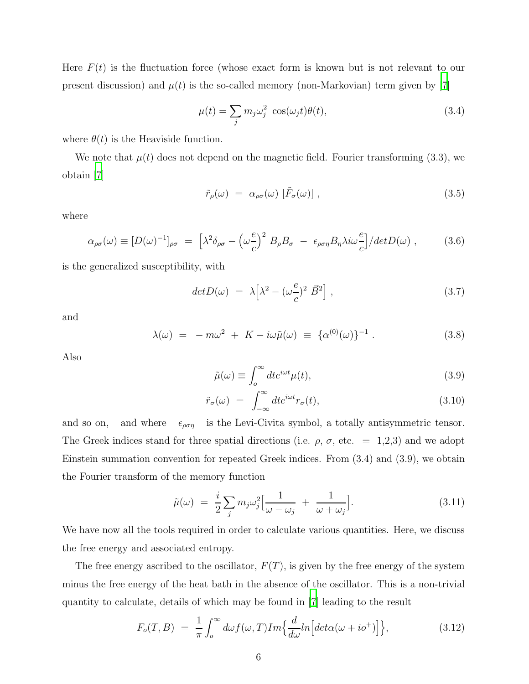Here  $F(t)$  is the fluctuation force (whose exact form is known but is not relevant to our present discussion) and  $\mu(t)$  is the so-called memory (non-Markovian) term given by [\[7\]](#page-10-6)

$$
\mu(t) = \sum_{j} m_j \omega_j^2 \cos(\omega_j t) \theta(t), \qquad (3.4)
$$

where  $\theta(t)$  is the Heaviside function.

We note that  $\mu(t)$  does not depend on the magnetic field. Fourier transforming (3.3), we obtain [\[7](#page-10-6)]

$$
\tilde{r}_{\rho}(\omega) = \alpha_{\rho\sigma}(\omega) [\tilde{F}_{\sigma}(\omega)], \qquad (3.5)
$$

where

$$
\alpha_{\rho\sigma}(\omega) \equiv [D(\omega)^{-1}]_{\rho\sigma} = \left[\lambda^2 \delta_{\rho\sigma} - \left(\omega \frac{e}{c}\right)^2 B_{\rho} B_{\sigma} - \epsilon_{\rho\sigma\eta} B_{\eta} \lambda i \omega \frac{e}{c}\right] / det D(\omega) , \qquad (3.6)
$$

is the generalized susceptibility, with

$$
det D(\omega) = \lambda \left[ \lambda^2 - (\omega \frac{e}{c})^2 \vec{B}^2 \right], \qquad (3.7)
$$

and

$$
\lambda(\omega) = -m\omega^2 + K - i\omega\tilde{\mu}(\omega) \equiv {\alpha^{(0)}(\omega)}^{-1}.
$$
 (3.8)

Also

$$
\tilde{\mu}(\omega) \equiv \int_{o}^{\infty} dt e^{i\omega t} \mu(t),\tag{3.9}
$$

$$
\tilde{r}_{\sigma}(\omega) = \int_{-\infty}^{\infty} dt e^{i\omega t} r_{\sigma}(t), \qquad (3.10)
$$

and so on, and where  $\epsilon_{\rho\sigma\eta}$  is the Levi-Civita symbol, a totally antisymmetric tensor. The Greek indices stand for three spatial directions (i.e.  $\rho$ ,  $\sigma$ , etc. = 1,2,3) and we adopt Einstein summation convention for repeated Greek indices. From (3.4) and (3.9), we obtain the Fourier transform of the memory function

$$
\tilde{\mu}(\omega) = \frac{i}{2} \sum_{j} m_{j} \omega_{j}^{2} \Big[ \frac{1}{\omega - \omega_{j}} + \frac{1}{\omega + \omega_{j}} \Big]. \tag{3.11}
$$

We have now all the tools required in order to calculate various quantities. Here, we discuss the free energy and associated entropy.

The free energy ascribed to the oscillator,  $F(T)$ , is given by the free energy of the system minus the free energy of the heat bath in the absence of the oscillator. This is a non-trivial quantity to calculate, details of which may be found in [\[7\]](#page-10-6) leading to the result

$$
F_o(T, B) = \frac{1}{\pi} \int_0^\infty d\omega f(\omega, T) Im\left\{ \frac{d}{d\omega} ln \left[ det\alpha(\omega + i\sigma^+) \right] \right\},\tag{3.12}
$$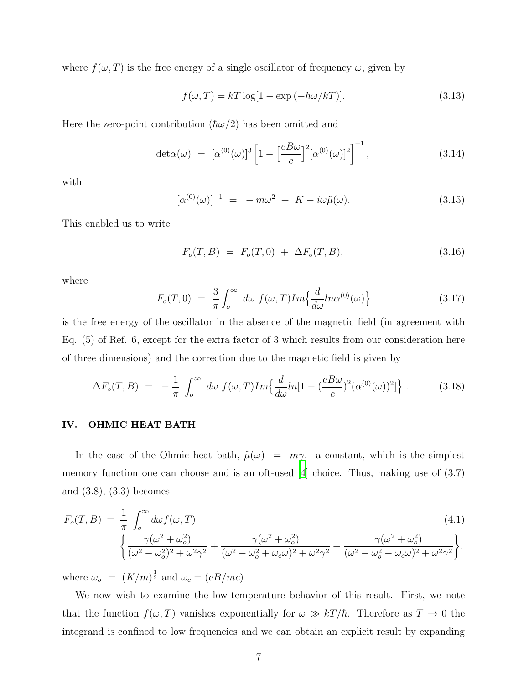where  $f(\omega, T)$  is the free energy of a single oscillator of frequency  $\omega$ , given by

$$
f(\omega, T) = kT \log[1 - \exp(-\hbar \omega/kT)].
$$
\n(3.13)

Here the zero-point contribution  $(\hbar\omega/2)$  has been omitted and

$$
\det \alpha(\omega) = [\alpha^{(0)}(\omega)]^3 \left[ 1 - \left[ \frac{e B \omega}{c} \right]^2 [\alpha^{(0)}(\omega)]^2 \right]^{-1}, \tag{3.14}
$$

with

$$
[\alpha^{(0)}(\omega)]^{-1} = -m\omega^2 + K - i\omega\tilde{\mu}(\omega).
$$
 (3.15)

This enabled us to write

$$
F_o(T, B) = F_o(T, 0) + \Delta F_o(T, B), \qquad (3.16)
$$

where

$$
F_o(T,0) = \frac{3}{\pi} \int_0^\infty d\omega f(\omega,T) Im\left\{ \frac{d}{d\omega} ln\alpha^{(0)}(\omega) \right\} \tag{3.17}
$$

is the free energy of the oscillator in the absence of the magnetic field (in agreement with Eq. (5) of Ref. 6, except for the extra factor of 3 which results from our consideration here of three dimensions) and the correction due to the magnetic field is given by

$$
\Delta F_o(T, B) = -\frac{1}{\pi} \int_o^{\infty} d\omega f(\omega, T) Im\left\{ \frac{d}{d\omega} ln[1 - \left(\frac{eB\omega}{c}\right)^2 (\alpha^{(0)}(\omega))^2] \right\}.
$$
 (3.18)

#### IV. OHMIC HEAT BATH

In the case of the Ohmic heat bath,  $\tilde{\mu}(\omega) = m\gamma$ , a constant, which is the simplest memory function one can choose and is an oft-used [\[4](#page-10-3)] choice. Thus, making use of (3.7) and (3.8), (3.3) becomes

$$
F_o(T, B) = \frac{1}{\pi} \int_o^{\infty} d\omega f(\omega, T)
$$
\n
$$
\left\{ \frac{\gamma(\omega^2 + \omega_o^2)}{(\omega^2 - \omega_o^2)^2 + \omega^2 \gamma^2} + \frac{\gamma(\omega^2 + \omega_o^2)}{(\omega^2 - \omega_o^2 + \omega_c \omega)^2 + \omega^2 \gamma^2} + \frac{\gamma(\omega^2 + \omega_o^2)}{(\omega^2 - \omega_o^2 - \omega_c \omega)^2 + \omega^2 \gamma^2} \right\},
$$
\n(4.1)

where  $\omega_o = (K/m)^{\frac{1}{2}}$  and  $\omega_c = (eB/mc)$ .

We now wish to examine the low-temperature behavior of this result. First, we note that the function  $f(\omega, T)$  vanishes exponentially for  $\omega \gg kT/\hbar$ . Therefore as  $T \to 0$  the integrand is confined to low frequencies and we can obtain an explicit result by expanding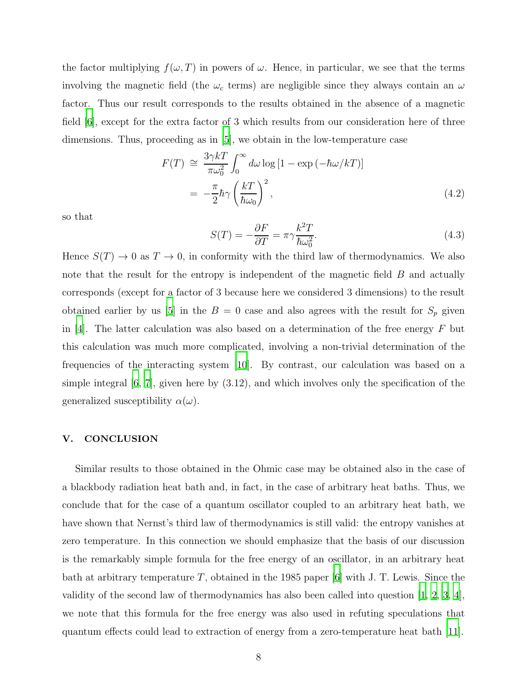the factor multiplying  $f(\omega, T)$  in powers of  $\omega$ . Hence, in particular, we see that the terms involving the magnetic field (the  $\omega_c$  terms) are negligible since they always contain an  $\omega$ factor. Thus our result corresponds to the results obtained in the absence of a magnetic field [\[6\]](#page-10-5), except for the extra factor of 3 which results from our consideration here of three dimensions. Thus, proceeding as in [\[5](#page-10-4)], we obtain in the low-temperature case

$$
F(T) \cong \frac{3\gamma kT}{\pi \omega_0^2} \int_0^\infty d\omega \log\left[1 - \exp\left(-\hbar \omega / kT\right)\right]
$$
  
= 
$$
-\frac{\pi}{2} \hbar \gamma \left(\frac{kT}{\hbar \omega_0}\right)^2,
$$
 (4.2)

so that

$$
S(T) = -\frac{\partial F}{\partial T} = \pi \gamma \frac{k^2 T}{\hbar \omega_0^2}.
$$
\n(4.3)

Hence  $S(T) \to 0$  as  $T \to 0$ , in conformity with the third law of thermodynamics. We also note that the result for the entropy is independent of the magnetic field B and actually corresponds (except for a factor of 3 because here we considered 3 dimensions) to the result obtained earlier by us [\[5](#page-10-4)] in the  $B = 0$  case and also agrees with the result for  $S_p$  given in [\[4\]](#page-10-3). The latter calculation was also based on a determination of the free energy  $F$  but this calculation was much more complicated, involving a non-trivial determination of the frequencies of the interacting system [\[10](#page-10-9)]. By contrast, our calculation was based on a simple integral [\[6,](#page-10-5) [7\]](#page-10-6), given here by (3.12), and which involves only the specification of the generalized susceptibility  $\alpha(\omega)$ .

#### V. CONCLUSION

Similar results to those obtained in the Ohmic case may be obtained also in the case of a blackbody radiation heat bath and, in fact, in the case of arbitrary heat baths. Thus, we conclude that for the case of a quantum oscillator coupled to an arbitrary heat bath, we have shown that Nernst's third law of thermodynamics is still valid: the entropy vanishes at zero temperature. In this connection we should emphasize that the basis of our discussion is the remarkably simple formula for the free energy of an oscillator, in an arbitrary heat bath at arbitrary temperature T, obtained in the 1985 paper [\[6](#page-10-5)] with J. T. Lewis. Since the validity of the second law of thermodynamics has also been called into question [\[1,](#page-10-0) [2,](#page-10-1) [3,](#page-10-2) [4\]](#page-10-3), we note that this formula for the free energy was also used in refuting speculations that quantum effects could lead to extraction of energy from a zero-temperature heat bath [\[11\]](#page-10-10).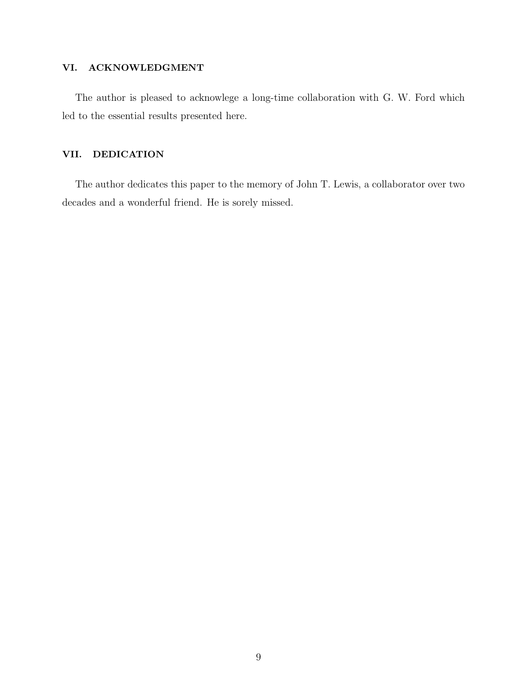## VI. ACKNOWLEDGMENT

The author is pleased to acknowlege a long-time collaboration with G. W. Ford which led to the essential results presented here.

## VII. DEDICATION

The author dedicates this paper to the memory of John T. Lewis, a collaborator over two decades and a wonderful friend. He is sorely missed.